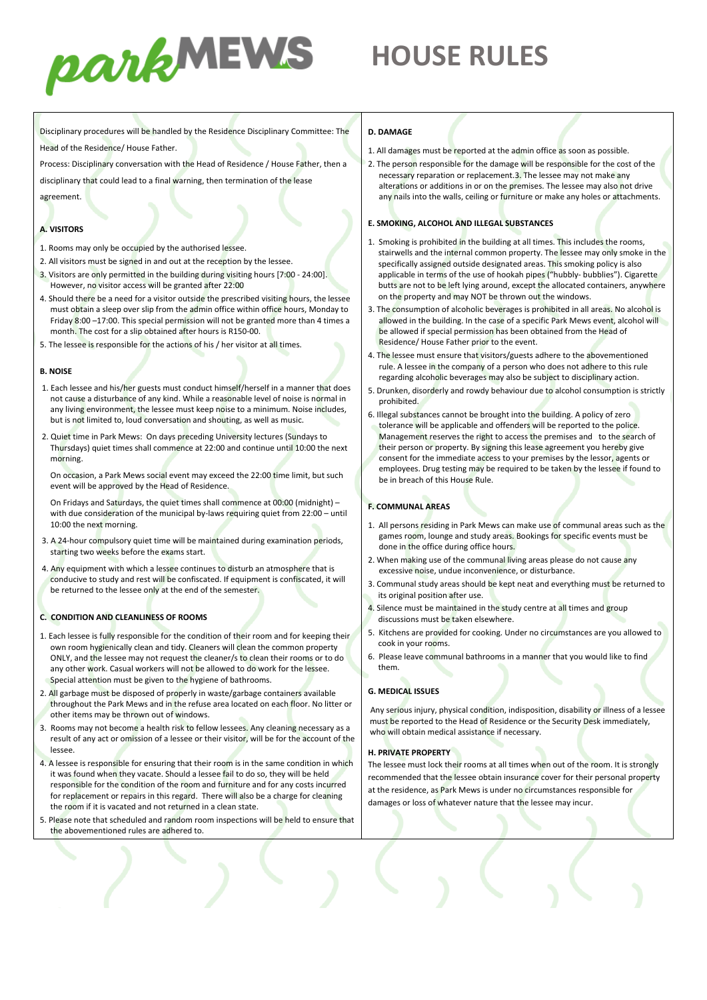

# **HOUSE RULES**

Disciplinary procedures will be handled by the Residence Disciplinary Committee: The Head of the Residence/ House Father.

Process: Disciplinary conversation with the Head of Residence / House Father, then a

disciplinary that could lead to a final warning, then termination of the lease

agreement.

## **A. VISITORS**

- 1. Rooms may only be occupied by the authorised lessee.
- 2. All visitors must be signed in and out at the reception by the lessee.
- 3. Visitors are only permitted in the building during visiting hours [7:00 24:00]. However, no visitor access will be granted after 22:00
- 4. Should there be a need for a visitor outside the prescribed visiting hours, the lessee must obtain a sleep over slip from the admin office within office hours, Monday to Friday 8:00 –17:00. This special permission will not be granted more than 4 times a month. The cost for a slip obtained after hours is R150-00.
- 5. The lessee is responsible for the actions of his / her visitor at all times.

#### **B. NOISE**

- 1. Each lessee and his/her guests must conduct himself/herself in a manner that does not cause a disturbance of any kind. While a reasonable level of noise is normal in any living environment, the lessee must keep noise to a minimum. Noise includes, but is not limited to, loud conversation and shouting, as well as music.
- 2. Quiet time in Park Mews: On days preceding University lectures (Sundays to Thursdays) quiet times shall commence at 22:00 and continue until 10:00 the next morning.

On occasion, a Park Mews social event may exceed the 22:00 time limit, but such event will be approved by the Head of Residence.

On Fridays and Saturdays, the quiet times shall commence at 00:00 (midnight) – with due consideration of the municipal by-laws requiring quiet from 22:00 – until 10:00 the next morning.

- 3. A 24-hour compulsory quiet time will be maintained during examination periods, starting two weeks before the exams start.
- 4. Any equipment with which a lessee continues to disturb an atmosphere that is conducive to study and rest will be confiscated. If equipment is confiscated, it will be returned to the lessee only at the end of the semester.

### **C. CONDITION AND CLEANLINESS OF ROOMS**

- 1. Each lessee is fully responsible for the condition of their room and for keeping their own room hygienically clean and tidy. Cleaners will clean the common property ONLY, and the lessee may not request the cleaner/s to clean their rooms or to do any other work. Casual workers will not be allowed to do work for the lessee. Special attention must be given to the hygiene of bathrooms.
- 2. All garbage must be disposed of properly in waste/garbage containers available throughout the Park Mews and in the refuse area located on each floor. No litter or other items may be thrown out of windows.
- 3. Rooms may not become a health risk to fellow lessees. Any cleaning necessary as a result of any act or omission of a lessee or their visitor, will be for the account of the lessee.
- 4. A lessee is responsible for ensuring that their room is in the same condition in which it was found when they vacate. Should a lessee fail to do so, they will be held responsible for the condition of the room and furniture and for any costs incurred for replacement or repairs in this regard. There will also be a charge for cleaning the room if it is vacated and not returned in a clean state.
- 5. Please note that scheduled and random room inspections will be held to ensure that the abovementioned rules are adhered to.

#### **D. DAMAGE**

- 1. All damages must be reported at the admin office as soon as possible.
- 2. The person responsible for the damage will be responsible for the cost of the necessary reparation or replacement.3. The lessee may not make any alterations or additions in or on the premises. The lessee may also not drive any nails into the walls, ceiling or furniture or make any holes or attachments.

## **E. SMOKING, ALCOHOL AND ILLEGAL SUBSTANCES**

- 1. Smoking is prohibited in the building at all times. This includes the rooms, stairwells and the internal common property. The lessee may only smoke in the specifically assigned outside designated areas. This smoking policy is also applicable in terms of the use of hookah pipes ("hubbly- bubblies"). Cigarette butts are not to be left lying around, except the allocated containers, anywhere on the property and may NOT be thrown out the windows.
- 3. The consumption of alcoholic beverages is prohibited in all areas. No alcohol is allowed in the building. In the case of a specific Park Mews event, alcohol will be allowed if special permission has been obtained from the Head of Residence/ House Father prior to the event.
- 4. The lessee must ensure that visitors/guests adhere to the abovementioned rule. A lessee in the company of a person who does not adhere to this rule regarding alcoholic beverages may also be subject to disciplinary action.
- 5. Drunken, disorderly and rowdy behaviour due to alcohol consumption is strictly prohibited.
- 6. Illegal substances cannot be brought into the building. A policy of zero tolerance will be applicable and offenders will be reported to the police. Management reserves the right to access the premises and to the search of their person or property. By signing this lease agreement you hereby give consent for the immediate access to your premises by the lessor, agents or employees. Drug testing may be required to be taken by the lessee if found to be in breach of this House Rule.

# **F. COMMUNAL AREAS**

- 1. All persons residing in Park Mews can make use of communal areas such as the games room, lounge and study areas. Bookings for specific events must be done in the office during office hours.
- 2. When making use of the communal living areas please do not cause any excessive noise, undue inconvenience, or disturbance.
- 3. Communal study areas should be kept neat and everything must be returned to its original position after use.
- 4. Silence must be maintained in the study centre at all times and group discussions must be taken elsewhere.
- 5. Kitchens are provided for cooking. Under no circumstances are you allowed to cook in your rooms.
- 6. Please leave communal bathrooms in a manner that you would like to find them.

### **G. MEDICAL ISSUES**

Any serious injury, physical condition, indisposition, disability or illness of a lessee must be reported to the Head of Residence or the Security Desk immediately, who will obtain medical assistance if necessary.

### **H. PRIVATE PROPERTY**

The lessee must lock their rooms at all times when out of the room. It is strongly recommended that the lessee obtain insurance cover for their personal property at the residence, as Park Mews is under no circumstances responsible for damages or loss of whatever nature that the lessee may incur.